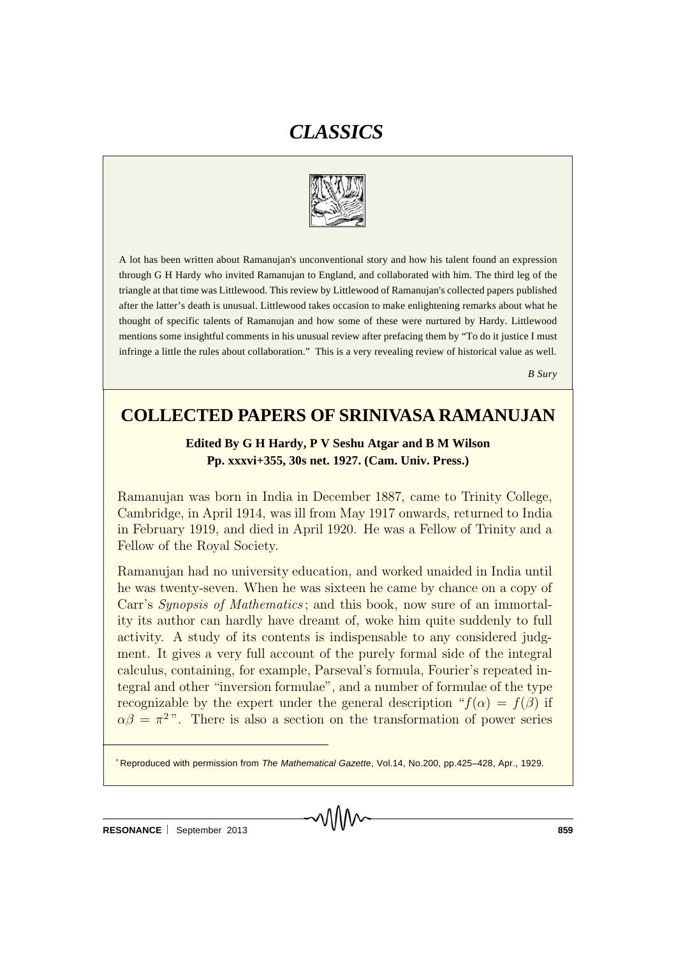## *CLASSICS*



A lot has been written about Ramanujan's unconventional story and how his talent found an expression through G H Hardy who invited Ramanujan to England, and collaborated with him. The third leg of the triangle at that time was Littlewood. This review by Littlewood of Ramanujan's collected papers published after the latter's death is unusual. Littlewood takes occasion to make enlightening remarks about what he thought of specific talents of Ramanujan and how some of these were nurtured by Hardy. Littlewood mentions some insightful comments in his unusual review after prefacing them by "To do it justice I must infringe a little the rules about collaboration." This is a very revealing review of historical value as well.

*B Sury*

## **COLLECTED PAPERS OF SRINIVASA RAMANUJAN**

**Edited By G H Hardy, P V Seshu Atgar and B M Wilson Pp. xxxvi+355, 30s net. 1927. (Cam. Univ. Press.)**

Ramanujan was born in India in December 1887, came to Trinity College, Cambridge, in April 1914, was ill from May 1917 onwards, returned to India in February 1919, and died in April 1920. He was a Fellow of Trinity and a Fellow of the Royal Society.

Ramanujan had no university education, and worked unaided in India until he was twenty-seven. When he was sixteen he came by chance on a copy of Carr's Synopsis of Mathematics ; and this book, now sure of an immortality its author can hardly have dreamt of, woke him quite suddenly to full activity. A study of its contents is indispensable to any considered judgment. It gives a very full account of the purely formal side of the integral calculus, containing, for example, Parseval's formula, Fourier's repeated integral and other "inversion formulae", and a number of formulae of the type recognizable by the expert under the general description " $f(\alpha) = f(\beta)$  if  $\alpha\beta = \pi^2$ ". There is also a section on the transformation of power series

<sup>\*</sup> Reproduced with permission from *The Mathematical Gazette*, Vol.14, No.200, pp.425–428, Apr., 1929.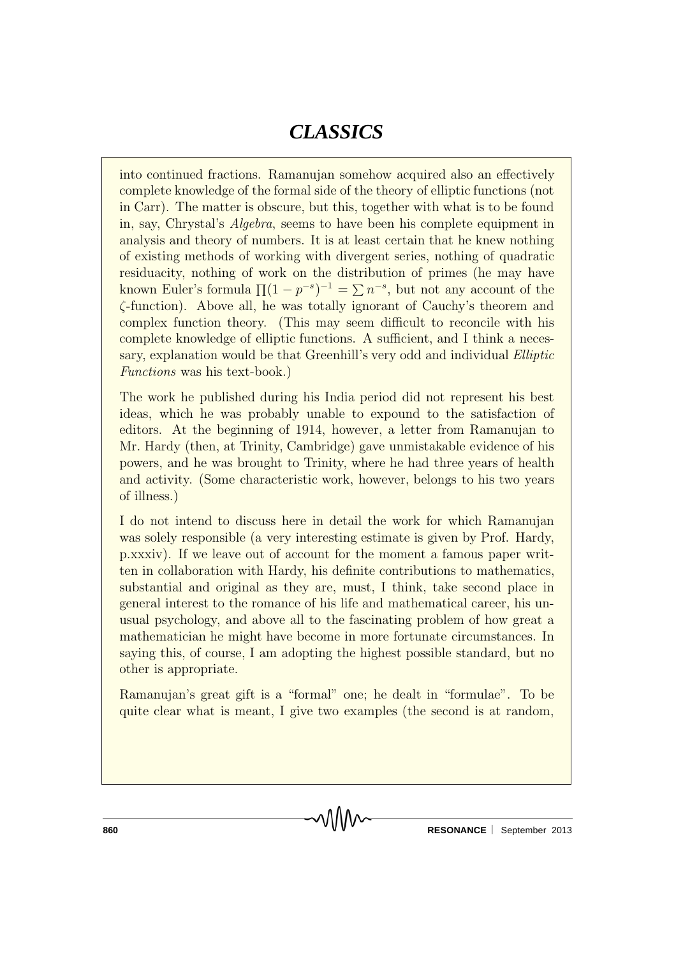into continued fractions. Ramanujan somehow acquired also an effectively complete knowledge of the formal side of the theory of elliptic functions (not in Carr). The matter is obscure, but this, together with what is to be found in, say, Chrystal's Algebra, seems to have been his complete equipment in analysis and theory of numbers. It is at least certain that he knew nothing of existing methods of working with divergent series, nothing of quadratic residuacity, nothing of work on the distribution of primes (he may have known Euler's formula  $\prod_{r=1}^{\infty} (1 - p^{-s})^{-1} = \sum_{r=1}^{\infty} n^{-s}$ , but not any account of the  $\zeta$ -function) A hove all be was totally ignorant of Cauchy's theorem and ζ-function). Above all, he was totally ignorant of Cauchy's theorem and complex function theory. (This may seem difficult to reconcile with his complete knowledge of elliptic functions. A sufficient, and I think a necessary, explanation would be that Greenhill's very odd and individual *Elliptic* Functions was his text-book.)

The work he published during his India period did not represent his best ideas, which he was probably unable to expound to the satisfaction of editors. At the beginning of 1914, however, a letter from Ramanujan to Mr. Hardy (then, at Trinity, Cambridge) gave unmistakable evidence of his powers, and he was brought to Trinity, where he had three years of health and activity. (Some characteristic work, however, belongs to his two years of illness.)

I do not intend to discuss here in detail the work for which Ramanujan was solely responsible (a very interesting estimate is given by Prof. Hardy, p.xxxiv). If we leave out of account for the moment a famous paper written in collaboration with Hardy, his definite contributions to mathematics, substantial and original as they are, must, I think, take second place in general interest to the romance of his life and mathematical career, his unusual psychology, and above all to the fascinating problem of how great a mathematician he might have become in more fortunate circumstances. In saying this, of course, I am adopting the highest possible standard, but no other is appropriate.

Ramanujan's great gift is a "formal" one; he dealt in "formulae". To be quite clear what is meant, I give two examples (the second is at random,

**860 RESONANCE** September 2013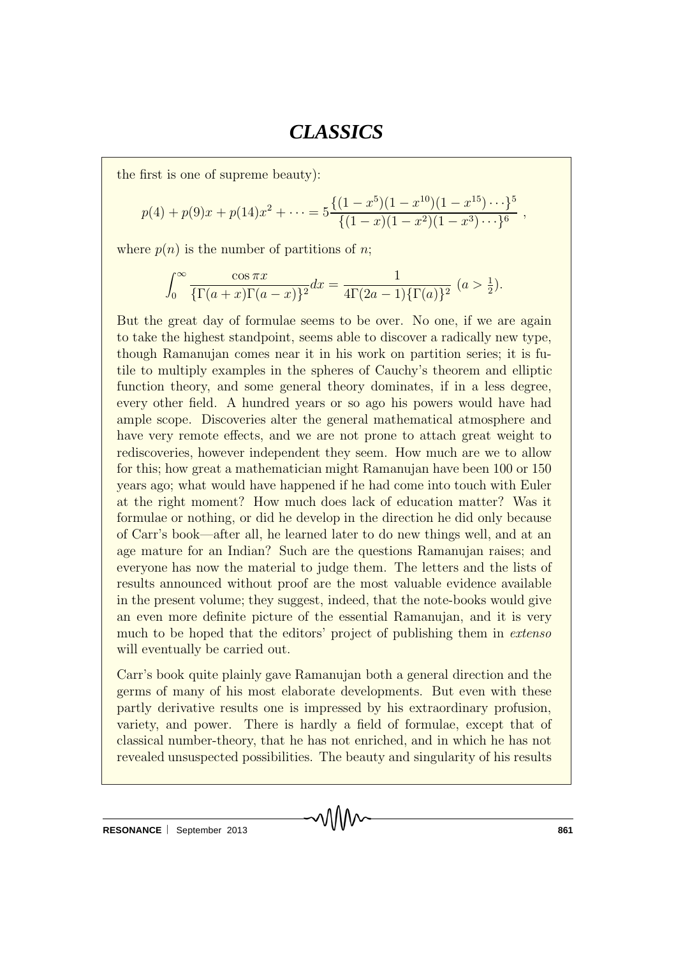the first is one of supreme beauty):

$$
p(4) + p(9)x + p(14)x^{2} + \cdots = 5\frac{\{(1-x^{5})(1-x^{10})(1-x^{15})\cdots\}^{5}}{\{(1-x)(1-x^{2})(1-x^{3})\cdots\}^{6}},
$$

where  $p(n)$  is the number of partitions of n;

$$
\int_0^\infty \frac{\cos \pi x}{\{\Gamma(a+x)\Gamma(a-x)\}^2} dx = \frac{1}{4\Gamma(2a-1)\{\Gamma(a)\}^2} (a > \frac{1}{2}).
$$

But the great day of formulae seems to be over. No one, if we are again to take the highest standpoint, seems able to discover a radically new type, though Ramanujan comes near it in his work on partition series; it is futile to multiply examples in the spheres of Cauchy's theorem and elliptic function theory, and some general theory dominates, if in a less degree, every other field. A hundred years or so ago his powers would have had ample scope. Discoveries alter the general mathematical atmosphere and have very remote effects, and we are not prone to attach great weight to rediscoveries, however independent they seem. How much are we to allow for this; how great a mathematician might Ramanujan have been 100 or 150 years ago; what would have happened if he had come into touch with Euler at the right moment? How much does lack of education matter? Was it formulae or nothing, or did he develop in the direction he did only because of Carr's book—after all, he learned later to do new things well, and at an age mature for an Indian? Such are the questions Ramanujan raises; and everyone has now the material to judge them. The letters and the lists of results announced without proof are the most valuable evidence available in the present volume; they suggest, indeed, that the note-books would give an even more definite picture of the essential Ramanujan, and it is very much to be hoped that the editors' project of publishing them in extenso will eventually be carried out.

Carr's book quite plainly gave Ramanujan both a general direction and the germs of many of his most elaborate developments. But even with these partly derivative results one is impressed by his extraordinary profusion, variety, and power. There is hardly a field of formulae, except that of classical number-theory, that he has not enriched, and in which he has not revealed unsuspected possibilities. The beauty and singularity of his results

℩ՈՐ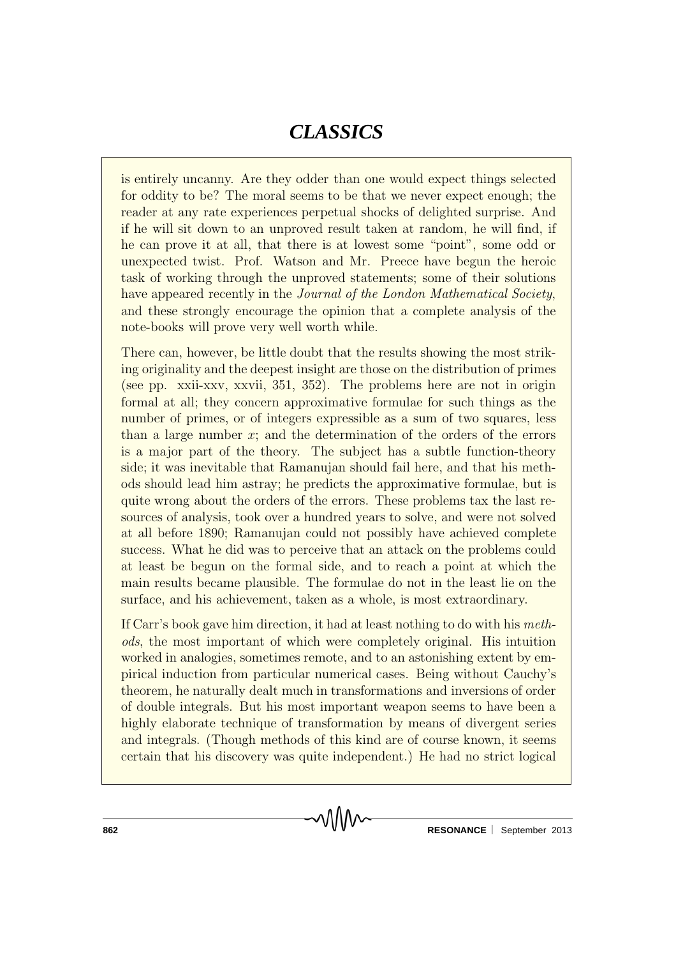is entirely uncanny. Are they odder than one would expect things selected for oddity to be? The moral seems to be that we never expect enough; the reader at any rate experiences perpetual shocks of delighted surprise. And if he will sit down to an unproved result taken at random, he will find, if he can prove it at all, that there is at lowest some "point", some odd or unexpected twist. Prof. Watson and Mr. Preece have begun the heroic task of working through the unproved statements; some of their solutions have appeared recently in the *Journal of the London Mathematical Society*, and these strongly encourage the opinion that a complete analysis of the note-books will prove very well worth while.

There can, however, be little doubt that the results showing the most striking originality and the deepest insight are those on the distribution of primes (see pp. xxii-xxv, xxvii, 351, 352). The problems here are not in origin formal at all; they concern approximative formulae for such things as the number of primes, or of integers expressible as a sum of two squares, less than a large number  $x$ ; and the determination of the orders of the errors is a major part of the theory. The subject has a subtle function-theory side; it was inevitable that Ramanujan should fail here, and that his methods should lead him astray; he predicts the approximative formulae, but is quite wrong about the orders of the errors. These problems tax the last resources of analysis, took over a hundred years to solve, and were not solved at all before 1890; Ramanujan could not possibly have achieved complete success. What he did was to perceive that an attack on the problems could at least be begun on the formal side, and to reach a point at which the main results became plausible. The formulae do not in the least lie on the surface, and his achievement, taken as a whole, is most extraordinary.

If Carr's book gave him direction, it had at least nothing to do with his methods, the most important of which were completely original. His intuition worked in analogies, sometimes remote, and to an astonishing extent by empirical induction from particular numerical cases. Being without Cauchy's theorem, he naturally dealt much in transformations and inversions of order of double integrals. But his most important weapon seems to have been a highly elaborate technique of transformation by means of divergent series and integrals. (Though methods of this kind are of course known, it seems certain that his discovery was quite independent.) He had no strict logical

**862 RESONANCE** September 2013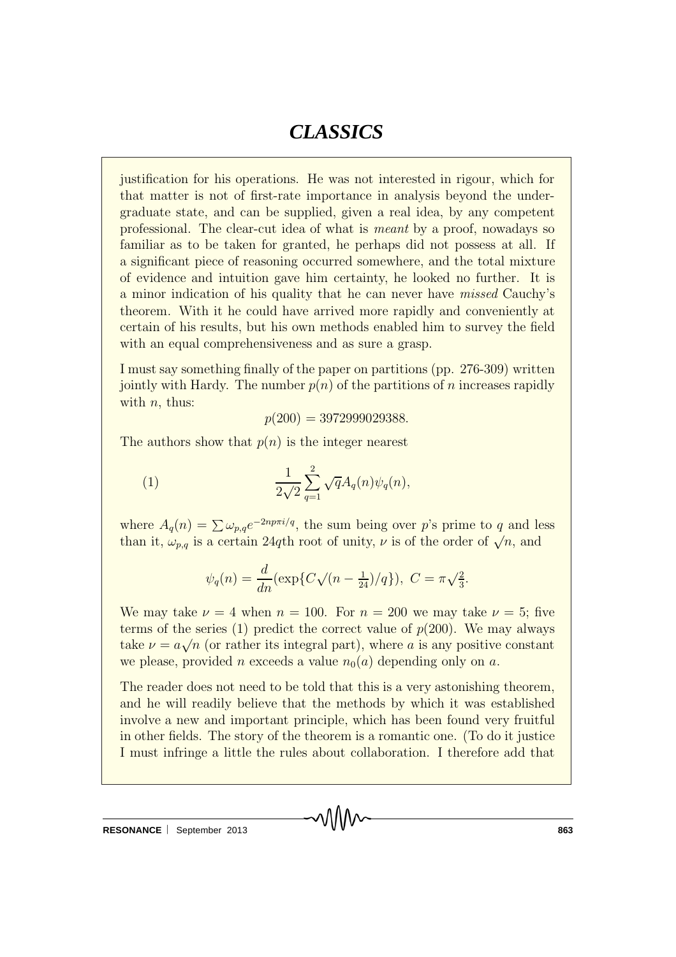justification for his operations. He was not interested in rigour, which for that matter is not of first-rate importance in analysis beyond the undergraduate state, and can be supplied, given a real idea, by any competent professional. The clear-cut idea of what is meant by a proof, nowadays so familiar as to be taken for granted, he perhaps did not possess at all. If a significant piece of reasoning occurred somewhere, and the total mixture of evidence and intuition gave him certainty, he looked no further. It is a minor indication of his quality that he can never have missed Cauchy's theorem. With it he could have arrived more rapidly and conveniently at certain of his results, but his own methods enabled him to survey the field with an equal comprehensiveness and as sure a grasp.

I must say something finally of the paper on partitions (pp. 276-309) written jointly with Hardy. The number  $p(n)$  of the partitions of n increases rapidly with  $n$ , thus:

$$
p(200) = 3972999029388.
$$

The authors show that  $p(n)$  is the integer nearest

(1) 
$$
\frac{1}{2\sqrt{2}} \sum_{q=1}^{2} \sqrt{q} A_q(n) \psi_q(n),
$$

where  $A_q(n) = \sum \omega_{p,q} e^{-2np\pi i/q}$ , the sum being over p's prime to q and less than it,  $\omega_{p,q}$  is a certain 24qth root of unity,  $\nu$  is of the order of  $\sqrt{n}$ , and

$$
\psi_q(n) = \frac{d}{dn} (\exp\{C\sqrt{(n-\frac{1}{24})/q}\}), C = \pi\sqrt{\frac{2}{3}}.
$$

We may take  $\nu = 4$  when  $n = 100$ . For  $n = 200$  we may take  $\nu = 5$ ; five terms of the series (1) predict the correct value of  $p(200)$ . We may always take  $\nu = a\sqrt{n}$  (or rather its integral part), where a is any positive constant we please, provided *n* exceeds a value  $n_0(a)$  depending only on a.

The reader does not need to be told that this is a very astonishing theorem, and he will readily believe that the methods by which it was established involve a new and important principle, which has been found very fruitful in other fields. The story of the theorem is a romantic one. (To do it justice I must infringe a little the rules about collaboration. I therefore add that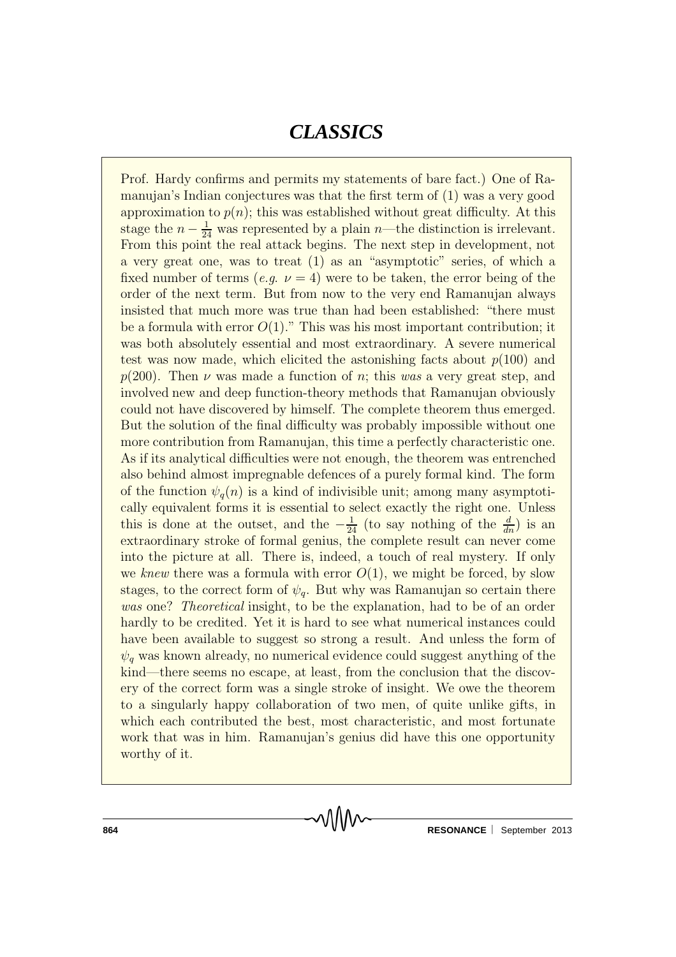Prof. Hardy confirms and permits my statements of bare fact.) One of Ramanujan's Indian conjectures was that the first term of (1) was a very good approximation to  $p(n)$ ; this was established without great difficulty. At this stage the  $n - \frac{1}{24}$  was represented by a plain n—the distinction is irrelevant.<br>From this point the real attack begins. The next step in development, not From this point the real attack begins. The next step in development, not a very great one, was to treat (1) as an "asymptotic" series, of which a fixed number of terms (e.g.  $\nu = 4$ ) were to be taken, the error being of the order of the next term. But from now to the very end Ramanujan always insisted that much more was true than had been established: "there must be a formula with error  $O(1)$ ." This was his most important contribution; it was both absolutely essential and most extraordinary. A severe numerical test was now made, which elicited the astonishing facts about  $p(100)$  and  $p(200)$ . Then  $\nu$  was made a function of n; this was a very great step, and involved new and deep function-theory methods that Ramanujan obviously could not have discovered by himself. The complete theorem thus emerged. But the solution of the final difficulty was probably impossible without one more contribution from Ramanujan, this time a perfectly characteristic one. As if its analytical difficulties were not enough, the theorem was entrenched also behind almost impregnable defences of a purely formal kind. The form of the function  $\psi_q(n)$  is a kind of indivisible unit; among many asymptotically equivalent forms it is essential to select exactly the right one. Unless this is done at the outset, and the  $-\frac{1}{24}$  (to say nothing of the  $\frac{d}{dn}$ ) is an extraordinary stroke of formal genius, the complete result can never come into the picture at all. There is, indeed, a touch of real mystery. If only we knew there was a formula with error  $O(1)$ , we might be forced, by slow stages, to the correct form of  $\psi_q$ . But why was Ramanujan so certain there was one? Theoretical insight, to be the explanation, had to be of an order hardly to be credited. Yet it is hard to see what numerical instances could have been available to suggest so strong a result. And unless the form of  $\psi_q$  was known already, no numerical evidence could suggest anything of the kind—there seems no escape, at least, from the conclusion that the discovery of the correct form was a single stroke of insight. We owe the theorem to a singularly happy collaboration of two men, of quite unlike gifts, in which each contributed the best, most characteristic, and most fortunate work that was in him. Ramanujan's genius did have this one opportunity worthy of it.